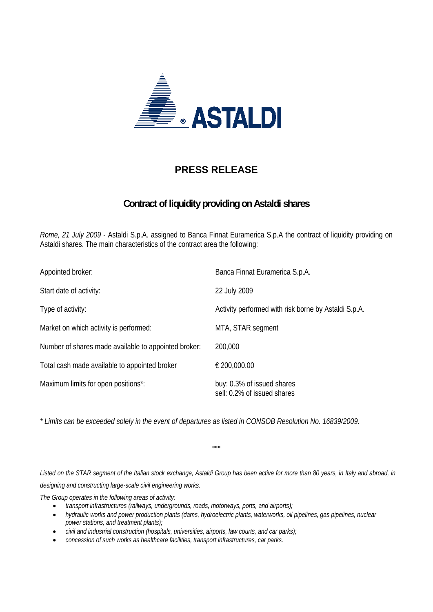

## **PRESS RELEASE**

## **Contract of liquidity providing on Astaldi shares**

*Rome, 21 July 2009 -* Astaldi S.p.A. assigned to Banca Finnat Euramerica S.p.A the contract of liquidity providing on Astaldi shares. The main characteristics of the contract area the following:

| Appointed broker:                                    | Banca Finnat Euramerica S.p.A.                            |
|------------------------------------------------------|-----------------------------------------------------------|
| Start date of activity:                              | 22 July 2009                                              |
| Type of activity:                                    | Activity performed with risk borne by Astaldi S.p.A.      |
| Market on which activity is performed:               | MTA, STAR segment                                         |
| Number of shares made available to appointed broker: | 200,000                                                   |
| Total cash made available to appointed broker        | € 200,000.00                                              |
| Maximum limits for open positions*:                  | buy: 0.3% of issued shares<br>sell: 0.2% of issued shares |

*\* Limits can be exceeded solely in the event of departures as listed in CONSOB Resolution No. 16839/2009.* 

**°°°** 

Listed on the STAR segment of the Italian stock exchange, Astaldi Group has been active for more than 80 years, in Italy and abroad, in *designing and constructing large-scale civil engineering works.* 

*The Group operates in the following areas of activity:* 

- *transport infrastructures (railways, undergrounds, roads, motorways, ports, and airports);*
- *hydraulic works and power production plants (dams, hydroelectric plants, waterworks, oil pipelines, gas pipelines, nuclear power stations, and treatment plants);*
- *civil and industrial construction (hospitals, universities, airports, law courts, and car parks);*
- *concession of such works as healthcare facilities, transport infrastructures, car parks.*